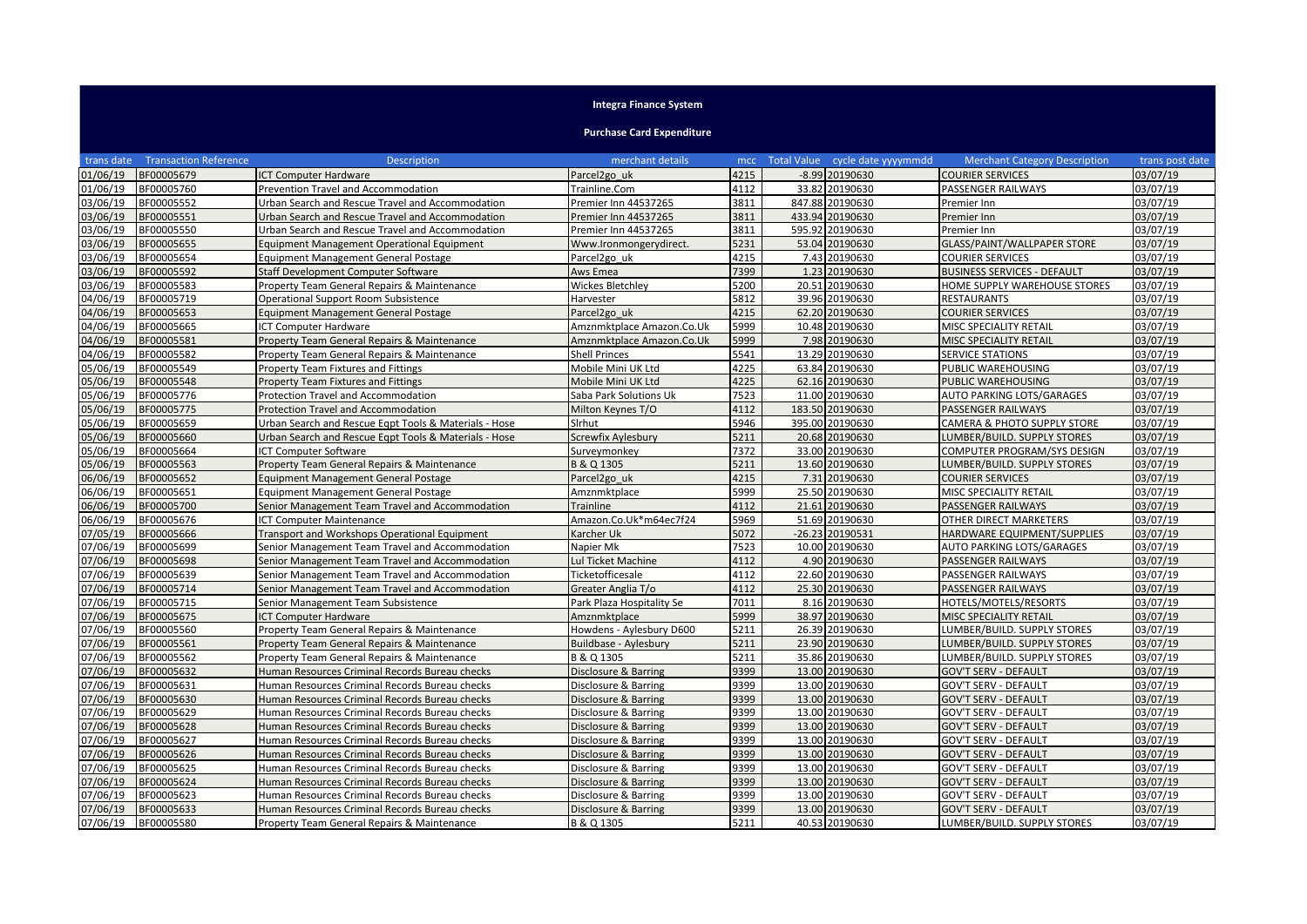## **Integra Finance System**

## **Purchase Card Expenditure**

| trans date | <b>Transaction Reference</b> | <b>Description</b>                                    | merchant details             | mcc  | Total Value cycle date yyyymmdd | <b>Merchant Category Description</b>   | trans post date |
|------------|------------------------------|-------------------------------------------------------|------------------------------|------|---------------------------------|----------------------------------------|-----------------|
| 01/06/19   | BF00005679                   | <b>ICT Computer Hardware</b>                          | Parcel <sub>2go uk</sub>     | 4215 | $-8.99$ 20190630                | <b>COURIER SERVICES</b>                | 03/07/19        |
| 01/06/19   | BF00005760                   | Prevention Travel and Accommodation                   | Trainline.Com                | 4112 | 33.82 20190630                  | PASSENGER RAILWAYS                     | 03/07/19        |
| 03/06/19   | BF00005552                   | Urban Search and Rescue Travel and Accommodation      | Premier Inn 44537265         | 3811 | 847.88 20190630                 | Premier Inn                            | 03/07/19        |
| 03/06/19   | BF00005551                   | Urban Search and Rescue Travel and Accommodation      | Premier Inn 44537265         | 3811 | 433.94 20190630                 | Premier Inn                            | 03/07/19        |
| 03/06/19   | BF00005550                   | Urban Search and Rescue Travel and Accommodation      | Premier Inn 44537265         | 3811 | 595.92 20190630                 | Premier Inn                            | 03/07/19        |
| 03/06/19   | BF00005655                   | <b>Equipment Management Operational Equipment</b>     | Www.Ironmongerydirect.       | 5231 | 53.04 20190630                  | GLASS/PAINT/WALLPAPER STORE            | 03/07/19        |
| )3/06/19   | BF00005654                   | <b>Equipment Management General Postage</b>           | Parcel2go uk                 | 4215 | 7.43 20190630                   | <b>COURIER SERVICES</b>                | 03/07/19        |
| 03/06/19   | BF00005592                   | Staff Development Computer Software                   | Aws Emea                     | 7399 | 1.23 20190630                   | <b>BUSINESS SERVICES - DEFAULT</b>     | 03/07/19        |
| 03/06/19   | BF00005583                   | Property Team General Repairs & Maintenance           | Wickes Bletchley             | 5200 | 20.51 20190630                  | HOME SUPPLY WAREHOUSE STORES           | 03/07/19        |
| 04/06/19   | BF00005719                   | Operational Support Room Subsistence                  | Harvester                    | 5812 | 39.96 20190630                  | <b>RESTAURANTS</b>                     | 03/07/19        |
| 04/06/19   | BF00005653                   | <b>Equipment Management General Postage</b>           | Parcel2go uk                 | 4215 | 62.20 20190630                  | <b>COURIER SERVICES</b>                | 03/07/19        |
| 04/06/19   | BF00005665                   | <b>CT Computer Hardware</b>                           | Amznmktplace Amazon.Co.Uk    | 5999 | 10.48 20190630                  | MISC SPECIALITY RETAIL                 | 03/07/19        |
| 04/06/19   | BF00005581                   | Property Team General Repairs & Maintenance           | Amznmktplace Amazon.Co.Uk    | 5999 | 7.98 20190630                   | MISC SPECIALITY RETAIL                 | 03/07/19        |
| 04/06/19   | BF00005582                   | Property Team General Repairs & Maintenance           | <b>Shell Princes</b>         | 5541 | 13.29 20190630                  | <b>SERVICE STATIONS</b>                | 03/07/19        |
| 05/06/19   | BF00005549                   | Property Team Fixtures and Fittings                   | Mobile Mini UK Ltd           | 4225 | 63.84 20190630                  | PUBLIC WAREHOUSING                     | 03/07/19        |
| 05/06/19   | BF00005548                   | Property Team Fixtures and Fittings                   | Mobile Mini UK Ltd           | 4225 | 62.16 20190630                  | PUBLIC WAREHOUSING                     | 03/07/19        |
| 05/06/19   | BF00005776                   | Protection Travel and Accommodation                   | Saba Park Solutions Uk       | 7523 | 11.00 20190630                  | AUTO PARKING LOTS/GARAGES              | 03/07/19        |
| 05/06/19   | BF00005775                   | <b>Protection Travel and Accommodation</b>            | Milton Keynes T/O            | 4112 | 183.50 20190630                 | PASSENGER RAILWAYS                     | 03/07/19        |
| 05/06/19   | BF00005659                   | Urban Search and Rescue Egpt Tools & Materials - Hose | Sirhut                       | 5946 | 395.00 20190630                 | <b>CAMERA &amp; PHOTO SUPPLY STORE</b> | 03/07/19        |
| 05/06/19   | BF00005660                   | Urban Search and Rescue Eqpt Tools & Materials - Hose | Screwfix Aylesbury           | 5211 | 20.68 20190630                  | LUMBER/BUILD. SUPPLY STORES            | 03/07/19        |
| 05/06/19   | BF00005664                   | <b>ICT Computer Software</b>                          | Surveymonkey                 | 7372 | 33.00 20190630                  | COMPUTER PROGRAM/SYS DESIGN            | 03/07/19        |
| 05/06/19   | BF00005563                   | Property Team General Repairs & Maintenance           | B & Q 1305                   | 5211 | 13.60 20190630                  | LUMBER/BUILD. SUPPLY STORES            | 03/07/19        |
| 06/06/19   | BF00005652                   | <b>Equipment Management General Postage</b>           | Parcel <sub>2gouk</sub>      | 4215 | 7.31 20190630                   | <b>COURIER SERVICES</b>                | 03/07/19        |
| 06/06/19   | BF00005651                   | <b>Equipment Management General Postage</b>           | Amznmktplace                 | 5999 | 25.50 20190630                  | MISC SPECIALITY RETAIL                 | 03/07/19        |
| 06/06/19   | BF00005700                   | Senior Management Team Travel and Accommodation       | <b>Trainline</b>             | 4112 | 21.61 20190630                  | PASSENGER RAILWAYS                     | 03/07/19        |
| 06/06/19   | BF00005676                   | <b>CT Computer Maintenance</b>                        | Amazon.Co.Uk*m64ec7f24       | 5969 | 51.69 20190630                  | OTHER DIRECT MARKETERS                 | 03/07/19        |
| 07/05/19   | BF00005666                   | Transport and Workshops Operational Equipment         | Karcher Uk                   | 5072 | -26.23 20190531                 | HARDWARE EQUIPMENT/SUPPLIES            | 03/07/19        |
| 07/06/19   | BF00005699                   | Senior Management Team Travel and Accommodation       | Napier Mk                    | 7523 | 10.00 20190630                  | AUTO PARKING LOTS/GARAGES              | 03/07/19        |
| 07/06/19   | BF00005698                   | Senior Management Team Travel and Accommodation       | ul Ticket Machine            | 4112 | 4.90 20190630                   | PASSENGER RAILWAYS                     | 03/07/19        |
| 07/06/19   | BF00005639                   | Senior Management Team Travel and Accommodation       | Ticketofficesale             | 4112 | 22.60 20190630                  | PASSENGER RAILWAYS                     | 03/07/19        |
| 07/06/19   | BF00005714                   | Senior Management Team Travel and Accommodation       | Greater Anglia T/o           | 4112 | 25.30 20190630                  | PASSENGER RAILWAYS                     | 03/07/19        |
| 07/06/19   | BF00005715                   | Senior Management Team Subsistence                    | Park Plaza Hospitality Se    | 7011 | 8.16 20190630                   | HOTELS/MOTELS/RESORTS                  | 03/07/19        |
| 07/06/19   | BF00005675                   | <b>CT Computer Hardware</b>                           | Amznmktplace                 | 5999 | 38.97 20190630                  | MISC SPECIALITY RETAIL                 | 03/07/19        |
| 07/06/19   | BF00005560                   | Property Team General Repairs & Maintenance           | Howdens - Aylesbury D600     | 5211 | 26.39 20190630                  | LUMBER/BUILD. SUPPLY STORES            | 03/07/19        |
| 07/06/19   | BF00005561                   | Property Team General Repairs & Maintenance           | <b>Buildbase - Aylesbury</b> | 5211 | 23.90 20190630                  | LUMBER/BUILD. SUPPLY STORES            | 03/07/19        |
| 07/06/19   | BF00005562                   | Property Team General Repairs & Maintenance           | B & Q 1305                   | 5211 | 35.86 20190630                  | LUMBER/BUILD. SUPPLY STORES            | 03/07/19        |
| 07/06/19   | BF00005632                   | Human Resources Criminal Records Bureau checks        | Disclosure & Barring         | 9399 | 13.00 20190630                  | <b>GOV'T SERV - DEFAULT</b>            | 03/07/19        |
| 07/06/19   | BF00005631                   | Human Resources Criminal Records Bureau checks        | Disclosure & Barring         | 9399 | 13.00 20190630                  | <b>GOV'T SERV - DEFAULT</b>            | 03/07/19        |
| 07/06/19   | BF00005630                   | Human Resources Criminal Records Bureau checks        | Disclosure & Barring         | 9399 | 13.00 20190630                  | <b>GOV'T SERV - DEFAULT</b>            | 03/07/19        |
| 07/06/19   | BF00005629                   | Human Resources Criminal Records Bureau checks        | Disclosure & Barring         | 9399 | 13.00 20190630                  | GOV'T SERV - DEFAULT                   | 03/07/19        |
| 07/06/19   | BF00005628                   | Human Resources Criminal Records Bureau checks        | Disclosure & Barring         | 9399 | 13.00 20190630                  | <b>GOV'T SERV - DEFAULT</b>            | 03/07/19        |
| 07/06/19   | BF00005627                   | Human Resources Criminal Records Bureau checks        | Disclosure & Barring         | 9399 | 13.00 20190630                  | <b>GOV'T SERV - DEFAULT</b>            | 03/07/19        |
| 07/06/19   | BF00005626                   | Human Resources Criminal Records Bureau checks        | Disclosure & Barring         | 9399 | 13.00 20190630                  | <b>GOV'T SERV - DEFAULT</b>            | 03/07/19        |
| 07/06/19   | BF00005625                   | Human Resources Criminal Records Bureau checks        | Disclosure & Barring         | 9399 | 13.00 20190630                  | GOV'T SERV - DEFAULT                   | 03/07/19        |
| 07/06/19   | BF00005624                   | Human Resources Criminal Records Bureau checks        | Disclosure & Barring         | 9399 | 13.00 20190630                  | <b>GOV'T SERV - DEFAULT</b>            | 03/07/19        |
| 07/06/19   | BF00005623                   | Human Resources Criminal Records Bureau checks        | Disclosure & Barring         | 9399 | 13.00 20190630                  | <b>GOV'T SERV - DEFAULT</b>            | 03/07/19        |
| 07/06/19   | BF00005633                   | Human Resources Criminal Records Bureau checks        | Disclosure & Barring         | 9399 | 13.00 20190630                  | <b>GOV'T SERV - DEFAULT</b>            | 03/07/19        |
| 07/06/19   | BF00005580                   | Property Team General Repairs & Maintenance           | B & Q 1305                   | 5211 | 40.53 20190630                  | LUMBER/BUILD. SUPPLY STORES            | 03/07/19        |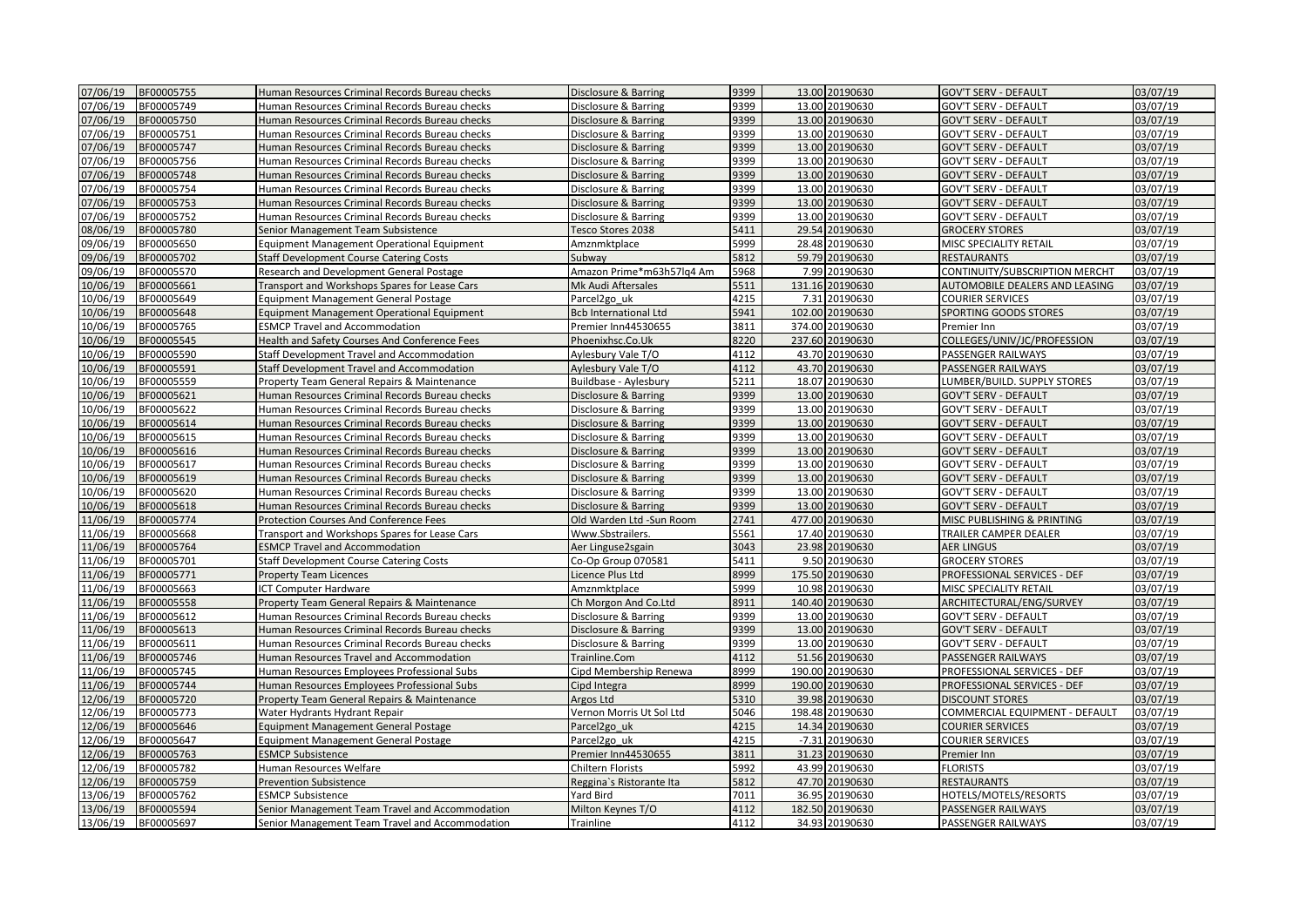| 07/06/19 | BF00005755 | Human Resources Criminal Records Bureau checks    | Disclosure & Barring         | 9399 | 13.00 20190630     | <b>GOV'T SERV - DEFAULT</b>    | 03/07/19             |
|----------|------------|---------------------------------------------------|------------------------------|------|--------------------|--------------------------------|----------------------|
| 07/06/19 | BF00005749 | Human Resources Criminal Records Bureau checks    | Disclosure & Barring         | 9399 | 13.00 20190630     | GOV'T SERV - DEFAULT           | 03/07/19             |
| 07/06/19 | BF00005750 | Human Resources Criminal Records Bureau checks    | Disclosure & Barring         | 9399 | 13.00 20190630     | <b>GOV'T SERV - DEFAULT</b>    | 03/07/19             |
| 07/06/19 | BF00005751 | Human Resources Criminal Records Bureau checks    | Disclosure & Barring         | 9399 | 13.00 20190630     | GOV'T SERV - DEFAULT           | 03/07/19             |
| 07/06/19 | BF00005747 | Human Resources Criminal Records Bureau checks    | Disclosure & Barring         | 9399 | 13.00 20190630     | <b>GOV'T SERV - DEFAULT</b>    | 03/07/19             |
| 07/06/19 | BF00005756 | Human Resources Criminal Records Bureau checks    | Disclosure & Barring         | 9399 | 13.00 20190630     | GOV'T SERV - DEFAULT           | 03/07/19             |
| 07/06/19 | BF00005748 | Human Resources Criminal Records Bureau checks    | Disclosure & Barring         | 9399 | 13.00 20190630     | <b>GOV'T SERV - DEFAULT</b>    | 03/07/19             |
| 07/06/19 | BF00005754 | Human Resources Criminal Records Bureau checks    | Disclosure & Barring         | 9399 | 13.00 20190630     | GOV'T SERV - DEFAULT           | 03/07/19             |
| 07/06/19 | BF00005753 | Human Resources Criminal Records Bureau checks    | Disclosure & Barring         | 9399 | 13.00 20190630     | <b>GOV'T SERV - DEFAULT</b>    | 03/07/19             |
| 07/06/19 | BF00005752 | Human Resources Criminal Records Bureau checks    | Disclosure & Barring         | 9399 | 13.00 20190630     | <b>GOV'T SERV - DEFAULT</b>    | 03/07/19             |
| 08/06/19 | BF00005780 | Senior Management Team Subsistence                | Tesco Stores 2038            | 5411 | 29.54 20190630     | GROCERY STORES                 | 03/07/19             |
| 09/06/19 | BF00005650 | <b>Equipment Management Operational Equipment</b> | Amznmktplace                 | 5999 | 28.48 20190630     | MISC SPECIALITY RETAIL         | 03/07/19             |
| 09/06/19 | BF00005702 | <b>Staff Development Course Catering Costs</b>    | Subway                       | 5812 | 59.79 20190630     | <b>RESTAURANTS</b>             | 03/07/19             |
| 09/06/19 | BF00005570 | Research and Development General Postage          | Amazon Prime*m63h57lg4 Am    | 5968 | 7.99 20190630      | CONTINUITY/SUBSCRIPTION MERCHT | 03/07/19             |
| 10/06/19 | BF00005661 | Transport and Workshops Spares for Lease Cars     | Mk Audi Aftersales           | 5511 | 131.16 20190630    | AUTOMOBILE DEALERS AND LEASING | 03/07/19             |
| 10/06/19 | BF00005649 | <b>Equipment Management General Postage</b>       | Parcel <sub>2gouk</sub>      | 4215 | 7.31 20190630      | COURIER SERVICES               | 03/07/19             |
| 10/06/19 | BF00005648 | Equipment Management Operational Equipment        | <b>Bcb International Ltd</b> | 5941 | 102.00 20190630    | SPORTING GOODS STORES          | 03/07/19             |
| 10/06/19 | BF00005765 | <b>ESMCP Travel and Accommodation</b>             | Premier Inn44530655          | 3811 | 374.00 20190630    | Premier Inn                    | 03/07/19             |
| 10/06/19 | BF00005545 | Health and Safety Courses And Conference Fees     | Phoenixhsc.Co.Uk             | 8220 | 237.60 20190630    | COLLEGES/UNIV/JC/PROFESSION    | 03/07/19             |
| 10/06/19 | BF00005590 | Staff Development Travel and Accommodation        | Aylesbury Vale T/O           | 4112 | 43.70 20190630     | PASSENGER RAILWAYS             | 03/07/19             |
| 10/06/19 | BF00005591 | Staff Development Travel and Accommodation        | Aylesbury Vale T/O           | 4112 | 43.70 20190630     | PASSENGER RAILWAYS             | 03/07/19             |
| 10/06/19 | BF00005559 | Property Team General Repairs & Maintenance       | Buildbase - Aylesbury        | 5211 | 18.07 20190630     | LUMBER/BUILD. SUPPLY STORES    | 03/07/19             |
| 10/06/19 | BF00005621 | Human Resources Criminal Records Bureau checks    | Disclosure & Barring         | 9399 | 13.00 20190630     | <b>GOV'T SERV - DEFAULT</b>    | 03/07/19             |
| 10/06/19 | BF00005622 | Human Resources Criminal Records Bureau checks    | Disclosure & Barring         | 9399 | 13.00 20190630     | <b>GOV'T SERV - DEFAULT</b>    | 03/07/19             |
| 10/06/19 | BF00005614 | Human Resources Criminal Records Bureau checks    | Disclosure & Barring         | 9399 | 13.00 20190630     | GOV'T SERV - DEFAULT           | 03/07/19             |
| 10/06/19 | BF00005615 |                                                   |                              | 9399 | 13.00 20190630     |                                |                      |
| 10/06/19 |            | Human Resources Criminal Records Bureau checks    | Disclosure & Barring         | 9399 | 13.00 20190630     | GOV'T SERV - DEFAULT           | 03/07/19<br>03/07/19 |
|          | BF00005616 | Human Resources Criminal Records Bureau checks    | Disclosure & Barring         | 9399 | 13.00 20190630     | <b>GOV'T SERV - DEFAULT</b>    |                      |
| 10/06/19 | BF00005617 | Human Resources Criminal Records Bureau checks    | Disclosure & Barring         | 9399 |                    | GOV'T SERV - DEFAULT           | 03/07/19             |
| 10/06/19 | BF00005619 | Human Resources Criminal Records Bureau checks    | Disclosure & Barring         |      | 13.00 20190630     | <b>GOV'T SERV - DEFAULT</b>    | 03/07/19             |
| 10/06/19 | BF00005620 | Human Resources Criminal Records Bureau checks    | Disclosure & Barring         | 9399 | 13.00 20190630     | GOV'T SERV - DEFAULT           | 03/07/19             |
| 10/06/19 | BF00005618 | Human Resources Criminal Records Bureau checks    | Disclosure & Barring         | 9399 | 13.00 20190630     | <b>GOV'T SERV - DEFAULT</b>    | 03/07/19             |
| 11/06/19 | BF00005774 | Protection Courses And Conference Fees            | Old Warden Ltd -Sun Room     | 2741 | 477.00 20190630    | MISC PUBLISHING & PRINTING     | 03/07/19             |
| 11/06/19 | BF00005668 | Transport and Workshops Spares for Lease Cars     | Www.Sbstrailers.             | 5561 | 17.40 20190630     | TRAILER CAMPER DEALER          | 03/07/19             |
| 11/06/19 | BF00005764 | <b>ESMCP Travel and Accommodation</b>             | Aer Linguse2sgain            | 3043 | 23.98 20190630     | <b>AER LINGUS</b>              | 03/07/19             |
| 11/06/19 | BF00005701 | <b>Staff Development Course Catering Costs</b>    | Co-Op Group 070581           | 5411 | 9.50 20190630      | <b>GROCERY STORES</b>          | 03/07/19             |
| 11/06/19 | BF00005771 | <b>Property Team Licences</b>                     | Licence Plus Ltd             | 8999 | 175.50 20190630    | PROFESSIONAL SERVICES - DEF    | 03/07/19             |
| 11/06/19 | BF00005663 | <b>CT Computer Hardware</b>                       | Amznmktplace                 | 5999 | 10.98 20190630     | MISC SPECIALITY RETAIL         | 03/07/19             |
| 11/06/19 | BF00005558 | Property Team General Repairs & Maintenance       | Ch Morgon And Co.Ltd         | 8911 | 140.40 20190630    | ARCHITECTURAL/ENG/SURVEY       | 03/07/19             |
| 11/06/19 | BF00005612 | Human Resources Criminal Records Bureau checks    | Disclosure & Barring         | 9399 | 13.00 20190630     | GOV'T SERV - DEFAULT           | 03/07/19             |
| 11/06/19 | BF00005613 | Human Resources Criminal Records Bureau checks    | Disclosure & Barring         | 9399 | 13.00 20190630     | GOV'T SERV - DEFAULT           | 03/07/19             |
| 11/06/19 | BF00005611 | Human Resources Criminal Records Bureau checks    | Disclosure & Barring         | 9399 | 13.00 20190630     | GOV'T SERV - DEFAULT           | 03/07/19             |
| 11/06/19 | BF00005746 | Human Resources Travel and Accommodation          | Trainline.Com                | 4112 | 51.56 20190630     | PASSENGER RAILWAYS             | 03/07/19             |
| 11/06/19 | BF00005745 | Human Resources Employees Professional Subs       | Cipd Membership Renewa       | 8999 | 190.00 20190630    | PROFESSIONAL SERVICES - DEF    | 03/07/19             |
| 11/06/19 | BF00005744 | Human Resources Employees Professional Subs       | Cipd Integra                 | 8999 | 190.00<br>20190630 | PROFESSIONAL SERVICES - DEF    | 03/07/19             |
| 12/06/19 | BF00005720 | Property Team General Repairs & Maintenance       | Argos Ltd                    | 5310 | 39.98 20190630     | <b>DISCOUNT STORES</b>         | 03/07/19             |
| 12/06/19 | BF00005773 | Water Hydrants Hydrant Repair                     | Vernon Morris Ut Sol Ltd     | 5046 | 198.48 20190630    | COMMERCIAL EQUIPMENT - DEFAULT | 03/07/19             |
| 12/06/19 | BF00005646 | <b>Equipment Management General Postage</b>       | Parcel <sub>2gouk</sub>      | 4215 | 14.34 20190630     | <b>COURIER SERVICES</b>        | 03/07/19             |
| 12/06/19 | BF00005647 | <b>Equipment Management General Postage</b>       | Parcel <sub>2gouk</sub>      | 4215 | -7.31 20190630     | COURIER SERVICES               | 03/07/19             |
| 12/06/19 | BF00005763 | <b>ESMCP Subsistence</b>                          | Premier Inn44530655          | 3811 | 31.23 20190630     | Premier Inn                    | 03/07/19             |
| 12/06/19 | BF00005782 | Human Resources Welfare                           | Chiltern Florists            | 5992 | 43.99 20190630     | <b>FLORISTS</b>                | 03/07/19             |
| 12/06/19 | BF00005759 | <b>Prevention Subsistence</b>                     | Reggina's Ristorante Ita     | 5812 | 47.70 20190630     | <b>RESTAURANTS</b>             | 03/07/19             |
| 13/06/19 | BF00005762 | <b>ESMCP Subsistence</b>                          | Yard Bird                    | 7011 | 36.95 20190630     | HOTELS/MOTELS/RESORTS          | 03/07/19             |
| 13/06/19 | BF00005594 | Senior Management Team Travel and Accommodation   | Milton Keynes T/O            | 4112 | 182.50 20190630    | PASSENGER RAILWAYS             | 03/07/19             |
| 13/06/19 | BF00005697 | Senior Management Team Travel and Accommodation   | Trainline                    | 4112 | 34.93 20190630     | PASSENGER RAILWAYS             | 03/07/19             |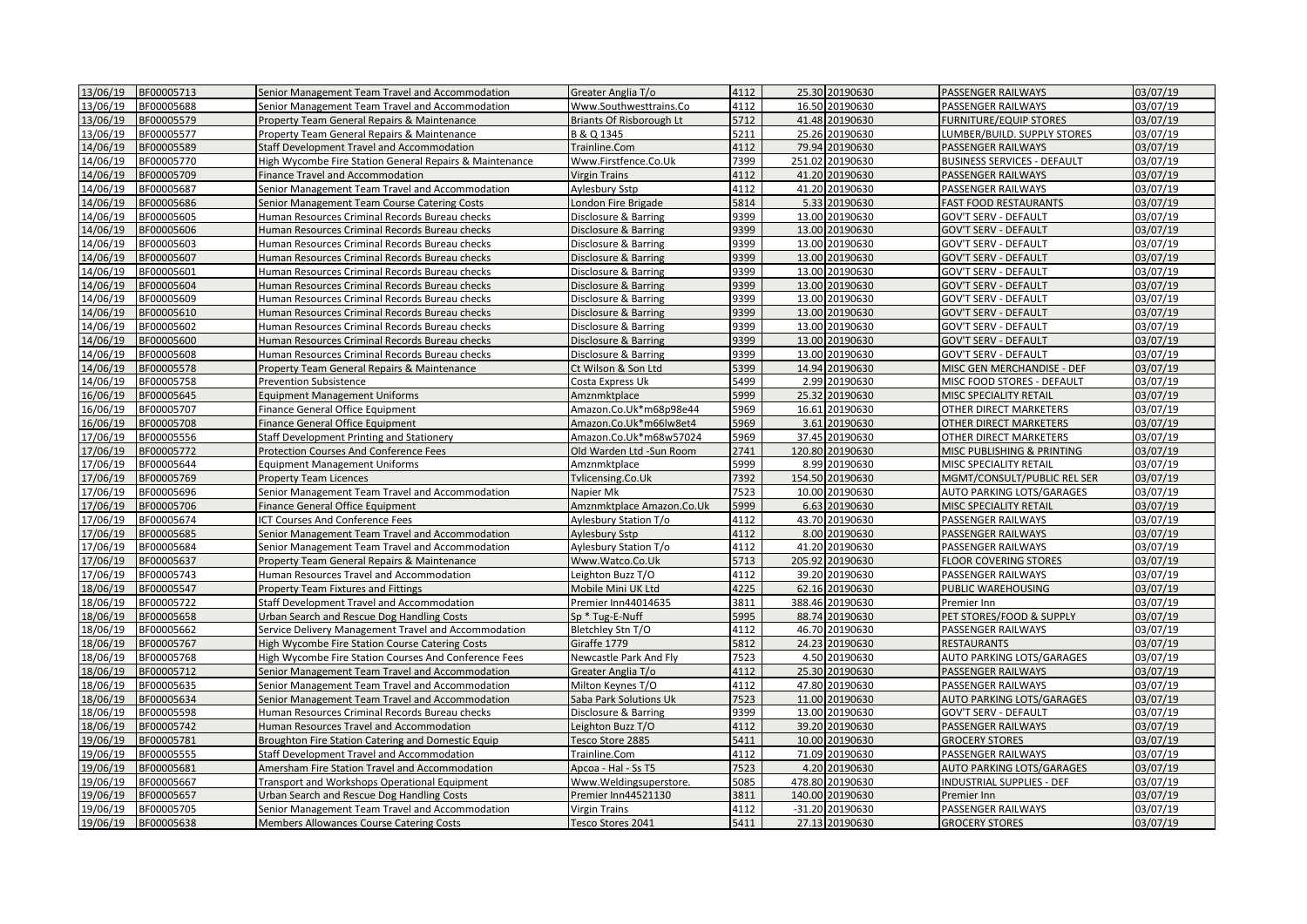| 13/06/19<br>BF00005713               | Senior Management Team Travel and Accommodation                      | Greater Anglia T/o                               | 4112 | 25.30 20190630  | <b>PASSENGER RAILWAYS</b>                        | 03/07/19 |
|--------------------------------------|----------------------------------------------------------------------|--------------------------------------------------|------|-----------------|--------------------------------------------------|----------|
| 13/06/19<br>BF00005688               | Senior Management Team Travel and Accommodation                      | Www.Southwesttrains.Co                           | 4112 | 16.50 20190630  | PASSENGER RAILWAYS                               | 03/07/19 |
| 13/06/19<br>BF00005579               | Property Team General Repairs & Maintenance                          | <b>Briants Of Risborough Lt</b>                  | 5712 | 41.48 20190630  | <b>FURNITURE/EQUIP STORES</b>                    | 03/07/19 |
| 13/06/19<br>BF00005577               | Property Team General Repairs & Maintenance                          | B & Q 1345                                       | 5211 | 25.26 20190630  | LUMBER/BUILD. SUPPLY STORES                      | 03/07/19 |
| 14/06/19<br>BF00005589               | Staff Development Travel and Accommodation                           | Trainline.Com                                    | 4112 | 79.94 20190630  | <b>PASSENGER RAILWAYS</b>                        | 03/07/19 |
| 14/06/19<br>BF00005770               | High Wycombe Fire Station General Repairs & Maintenance              | Www.Firstfence.Co.Uk                             | 7399 | 251.02 20190630 | <b>BUSINESS SERVICES - DEFAULT</b>               | 03/07/19 |
| 14/06/19<br>BF00005709               | Finance Travel and Accommodation                                     | Virgin Trains                                    | 4112 | 41.20 20190630  | <b>PASSENGER RAILWAYS</b>                        | 03/07/19 |
| 14/06/19<br>BF00005687               | Senior Management Team Travel and Accommodation                      | Aylesbury Sstp                                   | 4112 | 41.20 20190630  | PASSENGER RAILWAYS                               | 03/07/19 |
| 14/06/19<br>BF00005686               | Senior Management Team Course Catering Costs                         | London Fire Brigade                              | 5814 | 5.33 20190630   | <b>FAST FOOD RESTAURANTS</b>                     | 03/07/19 |
| 14/06/19<br>BF00005605               | Human Resources Criminal Records Bureau checks                       | Disclosure & Barring                             | 9399 | 13.00 20190630  | <b>GOV'T SERV - DEFAULT</b>                      | 03/07/19 |
| 14/06/19<br>BF00005606               | Human Resources Criminal Records Bureau checks                       | Disclosure & Barring                             | 9399 | 13.00 20190630  | <b>GOV'T SERV - DEFAULT</b>                      | 03/07/19 |
| 14/06/19<br>BF00005603               | Human Resources Criminal Records Bureau checks                       | Disclosure & Barring                             | 9399 | 13.00 20190630  | GOV'T SERV - DEFAULT                             | 03/07/19 |
| 14/06/19<br>BF00005607               | Human Resources Criminal Records Bureau checks                       | Disclosure & Barring                             | 9399 | 13.00 20190630  | <b>GOV'T SERV - DEFAULT</b>                      | 03/07/19 |
| 14/06/19<br>BF00005601               | Human Resources Criminal Records Bureau checks                       | Disclosure & Barring                             | 9399 | 13.00 20190630  | <b>GOV'T SERV - DEFAULT</b>                      | 03/07/19 |
| 14/06/19<br>BF00005604               | Human Resources Criminal Records Bureau checks                       | Disclosure & Barring                             | 9399 | 13.00 20190630  | <b>GOV'T SERV - DEFAULT</b>                      | 03/07/19 |
| 14/06/19<br>BF00005609               | Human Resources Criminal Records Bureau checks                       | Disclosure & Barring                             | 9399 | 13.00 20190630  | <b>GOV'T SERV - DEFAULT</b>                      | 03/07/19 |
| 14/06/19<br>BF00005610               | Human Resources Criminal Records Bureau checks                       | Disclosure & Barring                             | 9399 | 13.00 20190630  | <b>GOV'T SERV - DEFAULT</b>                      | 03/07/19 |
| 14/06/19<br>BF00005602               | Human Resources Criminal Records Bureau checks                       | Disclosure & Barring                             | 9399 | 13.00 20190630  | <b>GOV'T SERV - DEFAULT</b>                      | 03/07/19 |
| 14/06/19<br>BF00005600               | Human Resources Criminal Records Bureau checks                       | Disclosure & Barring                             | 9399 | 13.00 20190630  | <b>GOV'T SERV - DEFAULT</b>                      | 03/07/19 |
| 14/06/19<br>BF00005608               | Human Resources Criminal Records Bureau checks                       | Disclosure & Barring                             | 9399 | 13.00 20190630  | <b>GOV'T SERV - DEFAULT</b>                      | 03/07/19 |
| 14/06/19<br>BF00005578               | Property Team General Repairs & Maintenance                          | Ct Wilson & Son Ltd                              | 5399 | 14.94 20190630  | MISC GEN MERCHANDISE - DEF                       | 03/07/19 |
| 14/06/19<br>BF00005758               | <b>Prevention Subsistence</b>                                        | Costa Express Uk                                 | 5499 | 2.99 20190630   | MISC FOOD STORES - DEFAULT                       | 03/07/19 |
| 16/06/19<br>BF00005645               | <b>Equipment Management Uniforms</b>                                 | Amznmktplace                                     | 5999 | 25.32 20190630  | MISC SPECIALITY RETAIL                           | 03/07/19 |
| 16/06/19                             |                                                                      |                                                  | 5969 | 16.61 20190630  |                                                  | 03/07/19 |
| BF00005707<br>16/06/19<br>BF00005708 | Finance General Office Equipment<br>Finance General Office Equipment | Amazon.Co.Uk*m68p98e44<br>Amazon.Co.Uk*m66lw8et4 | 5969 | 3.61 20190630   | OTHER DIRECT MARKETERS<br>OTHER DIRECT MARKETERS | 03/07/19 |
| 17/06/19<br>BF00005556               |                                                                      |                                                  | 5969 | 37.45 20190630  | OTHER DIRECT MARKETERS                           | 03/07/19 |
| 17/06/19                             | <b>Staff Development Printing and Stationery</b>                     | Amazon.Co.Uk*m68w57024                           | 2741 | 120.80 20190630 |                                                  | 03/07/19 |
| BF00005772                           | Protection Courses And Conference Fees                               | Old Warden Ltd -Sun Room                         | 5999 | 8.99 20190630   | MISC PUBLISHING & PRINTING                       |          |
| 17/06/19<br>BF00005644               | <b>Equipment Management Uniforms</b>                                 | Amznmktplace                                     |      |                 | MISC SPECIALITY RETAIL                           | 03/07/19 |
| 17/06/19<br>BF00005769               | <b>Property Team Licences</b>                                        | Tylicensing.Co.Uk                                | 7392 | 154.50 20190630 | MGMT/CONSULT/PUBLIC REL SER                      | 03/07/19 |
| 17/06/19<br>BF00005696               | Senior Management Team Travel and Accommodation                      | Napier Mk                                        | 7523 | 10.00 20190630  | AUTO PARKING LOTS/GARAGES                        | 03/07/19 |
| 17/06/19<br>BF00005706               | Finance General Office Equipment                                     | Amznmktplace Amazon.Co.Uk                        | 5999 | 6.63 20190630   | MISC SPECIALITY RETAIL                           | 03/07/19 |
| 17/06/19<br>BF00005674               | ICT Courses And Conference Fees                                      | Aylesbury Station T/o                            | 4112 | 43.70 20190630  | PASSENGER RAILWAYS                               | 03/07/19 |
| 17/06/19<br>BF00005685               | Senior Management Team Travel and Accommodation                      | Aylesbury Sstp                                   | 4112 | 8.00 20190630   | <b>PASSENGER RAILWAYS</b>                        | 03/07/19 |
| 17/06/19<br>BF00005684               | Senior Management Team Travel and Accommodation                      | Aylesbury Station T/o                            | 4112 | 41.20 20190630  | PASSENGER RAILWAYS                               | 03/07/19 |
| 17/06/19<br>BF00005637               | Property Team General Repairs & Maintenance                          | Www.Watco.Co.Uk                                  | 5713 | 205.92 20190630 | <b>FLOOR COVERING STORES</b>                     | 03/07/19 |
| 17/06/19<br>BF00005743               | Human Resources Travel and Accommodation                             | Leighton Buzz T/O                                | 4112 | 39.20 20190630  | <b>PASSENGER RAILWAYS</b>                        | 03/07/19 |
| 18/06/19<br>BF00005547               | Property Team Fixtures and Fittings                                  | Mobile Mini UK Ltd                               | 4225 | 62.16 20190630  | PUBLIC WAREHOUSING                               | 03/07/19 |
| 18/06/19<br>BF00005722               | Staff Development Travel and Accommodation                           | Premier Inn44014635                              | 3811 | 388.46 20190630 | Premier Inn                                      | 03/07/19 |
| 18/06/19<br>BF00005658               | Urban Search and Rescue Dog Handling Costs                           | Sp * Tug-E-Nuff                                  | 5995 | 88.74 20190630  | PET STORES/FOOD & SUPPLY                         | 03/07/19 |
| 18/06/19<br>BF00005662               | Service Delivery Management Travel and Accommodation                 | Bletchley Stn T/O                                | 4112 | 46.70 20190630  | <b>PASSENGER RAILWAYS</b>                        | 03/07/19 |
| 18/06/19<br>BF00005767               | High Wycombe Fire Station Course Catering Costs                      | Giraffe 1779                                     | 5812 | 24.23 20190630  | <b>RESTAURANTS</b>                               | 03/07/19 |
| 18/06/19<br>BF00005768               | High Wycombe Fire Station Courses And Conference Fees                | Newcastle Park And Fly                           | 7523 | 4.50 20190630   | <b>AUTO PARKING LOTS/GARAGES</b>                 | 03/07/19 |
| 18/06/19<br>BF00005712               | Senior Management Team Travel and Accommodation                      | Greater Anglia T/o                               | 4112 | 25.30 20190630  | PASSENGER RAILWAYS                               | 03/07/19 |
| 18/06/19<br>BF00005635               | Senior Management Team Travel and Accommodation                      | Milton Keynes T/O                                | 4112 | 47.80 20190630  | <b>PASSENGER RAILWAYS</b>                        | 03/07/19 |
| 18/06/19<br>BF00005634               | Senior Management Team Travel and Accommodation                      | Saba Park Solutions Uk                           | 7523 | 11.00 20190630  | AUTO PARKING LOTS/GARAGES                        | 03/07/19 |
| 18/06/19<br>BF00005598               | Human Resources Criminal Records Bureau checks                       | Disclosure & Barring                             | 9399 | 13.00 20190630  | <b>GOV'T SERV - DEFAULT</b>                      | 03/07/19 |
| 18/06/19<br>BF00005742               | Human Resources Travel and Accommodation                             | eighton Buzz T/O                                 | 4112 | 39.20 20190630  | PASSENGER RAILWAYS                               | 03/07/19 |
| 19/06/19<br>BF00005781               | Broughton Fire Station Catering and Domestic Equip                   | Tesco Store 2885                                 | 5411 | 10.00 20190630  | <b>GROCERY STORES</b>                            | 03/07/19 |
| 19/06/19<br>BF00005555               | Staff Development Travel and Accommodation                           | Trainline.Com                                    | 4112 | 71.09 20190630  | PASSENGER RAILWAYS                               | 03/07/19 |
| 19/06/19<br>BF00005681               | Amersham Fire Station Travel and Accommodation                       | Apcoa - Hal - Ss T5                              | 7523 | 4.20 20190630   | <b>AUTO PARKING LOTS/GARAGES</b>                 | 03/07/19 |
| 19/06/19<br>BF00005667               | Transport and Workshops Operational Equipment                        | Www.Weldingsuperstore.                           | 5085 | 478.80 20190630 | INDUSTRIAL SUPPLIES - DEF                        | 03/07/19 |
| 19/06/19<br>BF00005657               | Urban Search and Rescue Dog Handling Costs                           | Premier Inn44521130                              | 3811 | 140.00 20190630 | Premier Inn                                      | 03/07/19 |
| 19/06/19<br>BF00005705               | Senior Management Team Travel and Accommodation                      | Virgin Trains                                    | 4112 | -31.20 20190630 | <b>PASSENGER RAILWAYS</b>                        | 03/07/19 |
| 19/06/19<br>BF00005638               | <b>Members Allowances Course Catering Costs</b>                      | Tesco Stores 2041                                | 5411 | 27.13 20190630  | <b>GROCERY STORES</b>                            | 03/07/19 |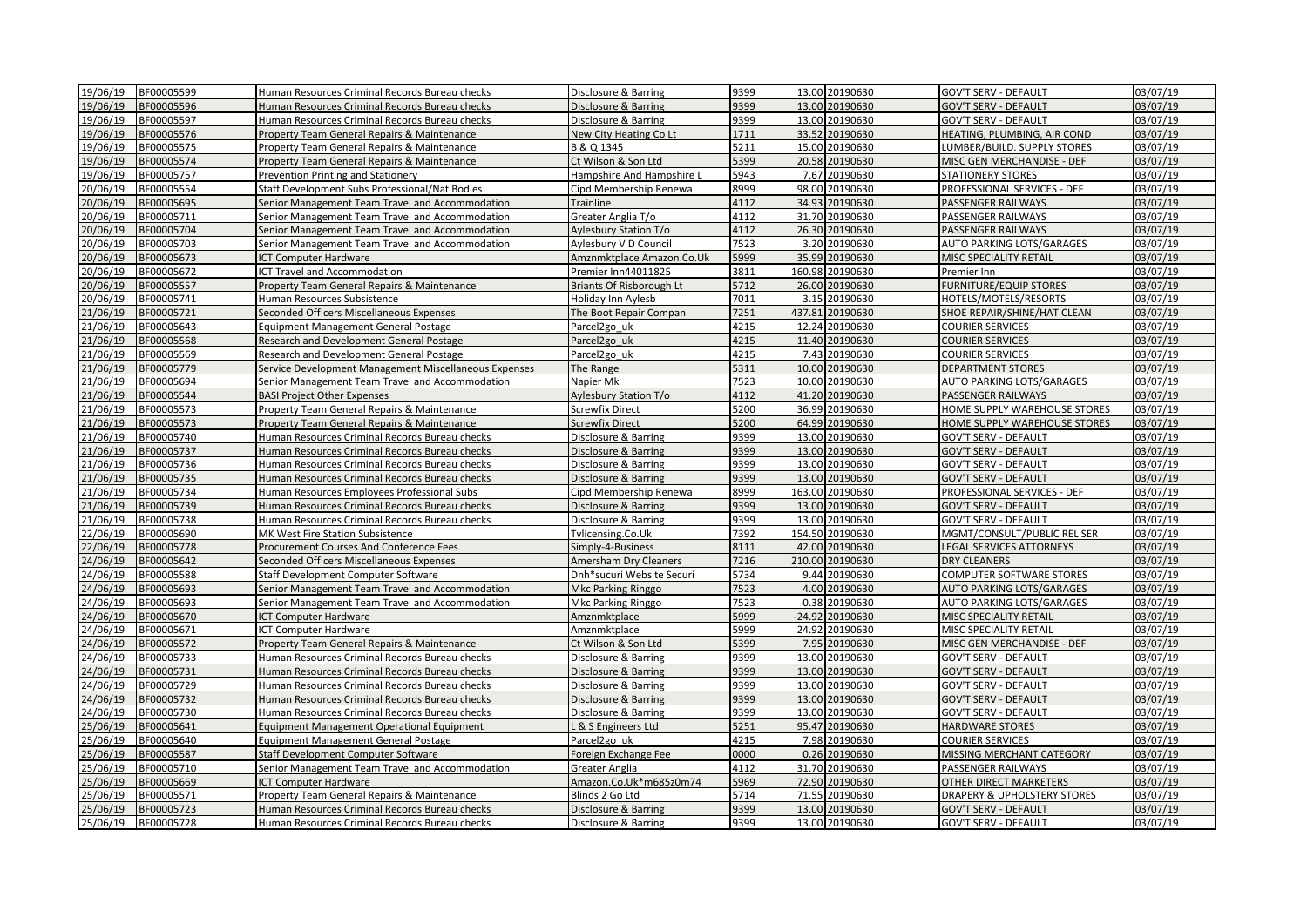| 19/06/19 | BF00005599 | Human Resources Criminal Records Bureau checks                                                   | Disclosure & Barring            | 9399 | 13.00 20190630  | <b>GOV'T SERV - DEFAULT</b>                                | 03/07/19 |
|----------|------------|--------------------------------------------------------------------------------------------------|---------------------------------|------|-----------------|------------------------------------------------------------|----------|
| 19/06/19 | BF00005596 | Human Resources Criminal Records Bureau checks                                                   | Disclosure & Barring            | 9399 | 13.00 20190630  | <b>GOV'T SERV - DEFAULT</b>                                | 03/07/19 |
| 19/06/19 | BF00005597 | Human Resources Criminal Records Bureau checks                                                   | Disclosure & Barring            | 9399 | 13.00 20190630  | <b>GOV'T SERV - DEFAULT</b>                                | 03/07/19 |
| 19/06/19 | BF00005576 | Property Team General Repairs & Maintenance                                                      | New City Heating Co Lt          | 1711 | 33.52 20190630  | HEATING, PLUMBING, AIR COND                                | 03/07/19 |
| 19/06/19 | BF00005575 | Property Team General Repairs & Maintenance                                                      | B & Q 1345                      | 5211 | 15.00 20190630  | LUMBER/BUILD. SUPPLY STORES                                | 03/07/19 |
| 19/06/19 | BF00005574 | Property Team General Repairs & Maintenance                                                      | Ct Wilson & Son Ltd             | 5399 | 20.58 20190630  | MISC GEN MERCHANDISE - DEF                                 | 03/07/19 |
| 19/06/19 | BF00005757 | Prevention Printing and Stationery                                                               | Hampshire And Hampshire L       | 5943 | 7.67 20190630   | <b>STATIONERY STORES</b>                                   | 03/07/19 |
| 20/06/19 | BF00005554 | Staff Development Subs Professional/Nat Bodies                                                   | Cipd Membership Renewa          | 8999 | 98.00 20190630  | PROFESSIONAL SERVICES - DEF                                | 03/07/19 |
| 20/06/19 | BF00005695 | Senior Management Team Travel and Accommodation                                                  | Trainline                       | 4112 | 34.93 20190630  | <b>PASSENGER RAILWAYS</b>                                  | 03/07/19 |
| 20/06/19 | BF00005711 | Senior Management Team Travel and Accommodation                                                  | Greater Anglia T/o              | 4112 | 31.70 20190630  | PASSENGER RAILWAYS                                         | 03/07/19 |
| 20/06/19 | BF00005704 | Senior Management Team Travel and Accommodation                                                  | Aylesbury Station T/o           | 4112 | 26.30 20190630  | <b>PASSENGER RAILWAYS</b>                                  | 03/07/19 |
| 20/06/19 | BF00005703 | Senior Management Team Travel and Accommodation                                                  | Aylesbury V D Council           | 7523 | 3.20 20190630   | AUTO PARKING LOTS/GARAGES                                  | 03/07/19 |
| 20/06/19 | BF00005673 | <b>CT Computer Hardware</b>                                                                      | Amznmktplace Amazon.Co.Uk       | 5999 | 35.99 20190630  | MISC SPECIALITY RETAIL                                     | 03/07/19 |
| 20/06/19 | BF00005672 | <b>CT Travel and Accommodation</b>                                                               | Premier Inn44011825             | 3811 | 160.98 20190630 | Premier Inn                                                | 03/07/19 |
| 20/06/19 | BF00005557 | Property Team General Repairs & Maintenance                                                      | <b>Briants Of Risborough Lt</b> | 5712 | 26.00 20190630  | <b>FURNITURE/EQUIP STORES</b>                              | 03/07/19 |
| 20/06/19 | BF00005741 | Human Resources Subsistence                                                                      | Holiday Inn Aylesb              | 7011 | 3.15 20190630   | HOTELS/MOTELS/RESORTS                                      | 03/07/19 |
| 21/06/19 | BF00005721 | Seconded Officers Miscellaneous Expenses                                                         | The Boot Repair Compan          | 7251 | 437.81 20190630 | SHOE REPAIR/SHINE/HAT CLEAN                                | 03/07/19 |
| 21/06/19 | BF00005643 | <b>Equipment Management General Postage</b>                                                      | Parcel2go uk                    | 4215 | 12.24 20190630  | <b>COURIER SERVICES</b>                                    | 03/07/19 |
| 21/06/19 | BF00005568 | Research and Development General Postage                                                         | Parcel2go uk                    | 4215 | 11.40 20190630  | <b>COURIER SERVICES</b>                                    | 03/07/19 |
| 21/06/19 | BF00005569 | Research and Development General Postage                                                         | Parcel <sub>2gouk</sub>         | 4215 | 7.43 20190630   | <b>COURIER SERVICES</b>                                    | 03/07/19 |
| 21/06/19 | BF00005779 | Service Development Management Miscellaneous Expenses                                            | The Range                       | 5311 | 10.00 20190630  | <b>DEPARTMENT STORES</b>                                   | 03/07/19 |
| 21/06/19 | BF00005694 | Senior Management Team Travel and Accommodation                                                  | Napier Mk                       | 7523 | 10.00 20190630  | AUTO PARKING LOTS/GARAGES                                  | 03/07/19 |
| 21/06/19 | BF00005544 | <b>BASI Project Other Expenses</b>                                                               | Aylesbury Station T/o           | 4112 | 41.20 20190630  | PASSENGER RAILWAYS                                         | 03/07/19 |
| 21/06/19 | BF00005573 | Property Team General Repairs & Maintenance                                                      | <b>Screwfix Direct</b>          | 5200 | 36.99 20190630  | HOME SUPPLY WAREHOUSE STORES                               | 03/07/19 |
| 21/06/19 | BF00005573 | Property Team General Repairs & Maintenance                                                      | Screwfix Direct                 | 5200 | 64.99 20190630  | HOME SUPPLY WAREHOUSE STORES                               | 03/07/19 |
| 21/06/19 | BF00005740 | Human Resources Criminal Records Bureau checks                                                   | Disclosure & Barring            | 9399 | 13.00 20190630  | <b>GOV'T SERV - DEFAULT</b>                                | 03/07/19 |
| 21/06/19 | BF00005737 |                                                                                                  |                                 | 9399 | 13.00 20190630  |                                                            | 03/07/19 |
| 21/06/19 | BF00005736 | Human Resources Criminal Records Bureau checks<br>Human Resources Criminal Records Bureau checks | Disclosure & Barring            | 9399 | 13.00 20190630  | <b>GOV'T SERV - DEFAULT</b><br><b>GOV'T SERV - DEFAULT</b> | 03/07/19 |
|          |            |                                                                                                  | Disclosure & Barring            |      |                 |                                                            |          |
| 21/06/19 | BF00005735 | Human Resources Criminal Records Bureau checks                                                   | Disclosure & Barring            | 9399 | 13.00 20190630  | <b>GOV'T SERV - DEFAULT</b>                                | 03/07/19 |
| 21/06/19 | BF00005734 | Human Resources Employees Professional Subs                                                      | Cipd Membership Renewa          | 8999 | 163.00 20190630 | PROFESSIONAL SERVICES - DEF                                | 03/07/19 |
| 21/06/19 | BF00005739 | Human Resources Criminal Records Bureau checks                                                   | Disclosure & Barring            | 9399 | 13.00 20190630  | <b>GOV'T SERV - DEFAULT</b>                                | 03/07/19 |
| 21/06/19 | BF00005738 | Human Resources Criminal Records Bureau checks                                                   | Disclosure & Barring            | 9399 | 13.00 20190630  | <b>GOV'T SERV - DEFAULT</b>                                | 03/07/19 |
| 22/06/19 | BF00005690 | MK West Fire Station Subsistence                                                                 | Tvlicensing.Co.Uk               | 7392 | 154.50 20190630 | MGMT/CONSULT/PUBLIC REL SER                                | 03/07/19 |
| 22/06/19 | BF00005778 | Procurement Courses And Conference Fees                                                          | Simply-4-Business               | 8111 | 42.00 20190630  | LEGAL SERVICES ATTORNEYS                                   | 03/07/19 |
| 24/06/19 | BF00005642 | Seconded Officers Miscellaneous Expenses                                                         | Amersham Dry Cleaners           | 7216 | 210.00 20190630 | <b>DRY CLEANERS</b>                                        | 03/07/19 |
| 24/06/19 | BF00005588 | Staff Development Computer Software                                                              | Dnh*sucuri Website Securi       | 5734 | 9.44 20190630   | <b>COMPUTER SOFTWARE STORES</b>                            | 03/07/19 |
| 24/06/19 | BF00005693 | Senior Management Team Travel and Accommodation                                                  | Mkc Parking Ringgo              | 7523 | 4.00 20190630   | <b>AUTO PARKING LOTS/GARAGES</b>                           | 03/07/19 |
| 24/06/19 | BF00005693 | Senior Management Team Travel and Accommodation                                                  | Mkc Parking Ringgo              | 7523 | 0.38 20190630   | AUTO PARKING LOTS/GARAGES                                  | 03/07/19 |
| 24/06/19 | BF00005670 | <b>CT Computer Hardware</b>                                                                      | Amznmktplace                    | 5999 | -24.92 20190630 | MISC SPECIALITY RETAIL                                     | 03/07/19 |
| 24/06/19 | BF00005671 | ICT Computer Hardware                                                                            | Amznmktplace                    | 5999 | 24.92 20190630  | MISC SPECIALITY RETAIL                                     | 03/07/19 |
| 24/06/19 | BF00005572 | Property Team General Repairs & Maintenance                                                      | Ct Wilson & Son Ltd             | 5399 | 7.95 20190630   | MISC GEN MERCHANDISE - DEF                                 | 03/07/19 |
| 24/06/19 | BF00005733 | Human Resources Criminal Records Bureau checks                                                   | Disclosure & Barring            | 9399 | 13.00 20190630  | GOV'T SERV - DEFAULT                                       | 03/07/19 |
| 24/06/19 | BF00005731 | Human Resources Criminal Records Bureau checks                                                   | Disclosure & Barring            | 9399 | 13.00 20190630  | <b>GOV'T SERV - DEFAULT</b>                                | 03/07/19 |
| 24/06/19 | BF00005729 | Human Resources Criminal Records Bureau checks                                                   | Disclosure & Barring            | 9399 | 13.00 20190630  | <b>GOV'T SERV - DEFAULT</b>                                | 03/07/19 |
| 24/06/19 | BF00005732 | Human Resources Criminal Records Bureau checks                                                   | Disclosure & Barring            | 9399 | 13.00 20190630  | <b>GOV'T SERV - DEFAULT</b>                                | 03/07/19 |
| 24/06/19 | BF00005730 | Human Resources Criminal Records Bureau checks                                                   | Disclosure & Barring            | 9399 | 13.00 20190630  | <b>GOV'T SERV - DEFAULT</b>                                | 03/07/19 |
| 25/06/19 | BF00005641 | Equipment Management Operational Equipment                                                       | & S Engineers Ltd               | 5251 | 95.47 20190630  | <b>HARDWARE STORES</b>                                     | 03/07/19 |
| 25/06/19 | BF00005640 | Equipment Management General Postage                                                             | Parcel <sub>2go uk</sub>        | 4215 | 7.98 20190630   | <b>COURIER SERVICES</b>                                    | 03/07/19 |
| 25/06/19 | BF00005587 | Staff Development Computer Software                                                              | Foreign Exchange Fee            | 0000 | 0.26 20190630   | MISSING MERCHANT CATEGORY                                  | 03/07/19 |
| 25/06/19 | BF00005710 | Senior Management Team Travel and Accommodation                                                  | <b>Greater Anglia</b>           | 4112 | 31.70 20190630  | PASSENGER RAILWAYS                                         | 03/07/19 |
| 25/06/19 | BF00005669 | CT Computer Hardware                                                                             | Amazon.Co.Uk*m685z0m74          | 5969 | 72.90 20190630  | OTHER DIRECT MARKETERS                                     | 03/07/19 |
| 25/06/19 | BF00005571 | Property Team General Repairs & Maintenance                                                      | Blinds 2 Go Ltd                 | 5714 | 71.55 20190630  | <b>DRAPERY &amp; UPHOLSTERY STORES</b>                     | 03/07/19 |
| 25/06/19 | BF00005723 | Human Resources Criminal Records Bureau checks                                                   | Disclosure & Barring            | 9399 | 13.00 20190630  | <b>GOV'T SERV - DEFAULT</b>                                | 03/07/19 |
| 25/06/19 | BF00005728 | Human Resources Criminal Records Bureau checks                                                   | Disclosure & Barring            | 9399 | 13.00 20190630  | <b>GOV'T SERV - DEFAULT</b>                                | 03/07/19 |